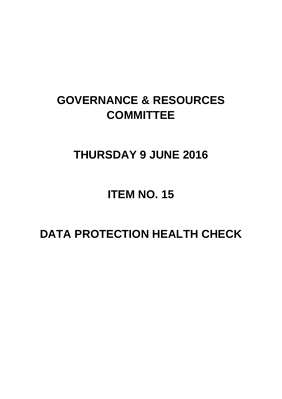# **GOVERNANCE & RESOURCES COMMITTEE**

### **THURSDAY 9 JUNE 2016**

## **ITEM NO. 15**

## **DATA PROTECTION HEALTH CHECK**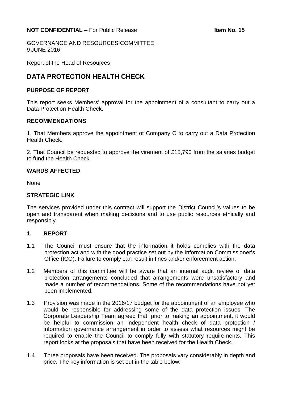GOVERNANCE AND RESOURCES COMMITTEE 9 JUNE 2016

Report of the Head of Resources

### **DATA PROTECTION HEALTH CHECK**

#### **PURPOSE OF REPORT**

This report seeks Members' approval for the appointment of a consultant to carry out a Data Protection Health Check.

#### **RECOMMENDATIONS**

1. That Members approve the appointment of Company C to carry out a Data Protection Health Check.

2. That Council be requested to approve the virement of £15,790 from the salaries budget to fund the Health Check.

#### **WARDS AFFECTED**

None

#### **STRATEGIC LINK**

The services provided under this contract will support the District Council's values to be open and transparent when making decisions and to use public resources ethically and responsibly.

#### **1. REPORT**

- 1.1 The Council must ensure that the information it holds complies with the data protection act and with the good practice set out by the Information Commissioner's Office (ICO). Failure to comply can result in fines and/or enforcement action.
- 1.2 Members of this committee will be aware that an internal audit review of data protection arrangements concluded that arrangements were unsatisfactory and made a number of recommendations. Some of the recommendations have not yet been implemented.
- 1.3 Provision was made in the 2016/17 budget for the appointment of an employee who would be responsible for addressing some of the data protection issues. The Corporate Leadership Team agreed that, prior to making an appointment, it would be helpful to commission an independent health check of data protection / information governance arrangement in order to assess what resources might be required to enable the Council to comply fully with statutory requirements. This report looks at the proposals that have been received for the Health Check.
- 1.4 Three proposals have been received. The proposals vary considerably in depth and price. The key information is set out in the table below: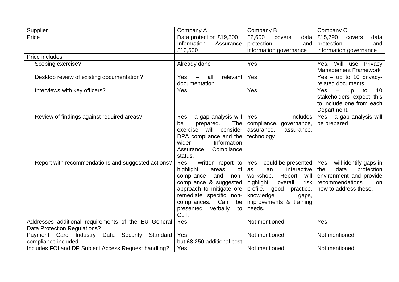| Supplier                                                                            | Company A                                                                                                                                                                                                                                    | Company B                                                                                                                                                                                                | Company C                                                                                                                                           |
|-------------------------------------------------------------------------------------|----------------------------------------------------------------------------------------------------------------------------------------------------------------------------------------------------------------------------------------------|----------------------------------------------------------------------------------------------------------------------------------------------------------------------------------------------------------|-----------------------------------------------------------------------------------------------------------------------------------------------------|
| Price                                                                               | Data protection £19,500                                                                                                                                                                                                                      | £2,600<br>covers<br>data                                                                                                                                                                                 | £15,790<br>data<br>covers                                                                                                                           |
|                                                                                     | Information<br>Assurance                                                                                                                                                                                                                     | protection<br>and                                                                                                                                                                                        | protection<br>and                                                                                                                                   |
|                                                                                     | £10,500                                                                                                                                                                                                                                      | information governance                                                                                                                                                                                   | information governance                                                                                                                              |
| Price includes:                                                                     |                                                                                                                                                                                                                                              |                                                                                                                                                                                                          |                                                                                                                                                     |
| Scoping exercise?                                                                   | Already done                                                                                                                                                                                                                                 | Yes                                                                                                                                                                                                      | Yes. Will use Privacy<br>Management Framework                                                                                                       |
| Desktop review of existing documentation?                                           | <b>Yes</b><br>all<br>relevant<br>$\overline{\phantom{m}}$<br>documentation                                                                                                                                                                   | Yes                                                                                                                                                                                                      | Yes $-$ up to 10 privacy-<br>related documents.                                                                                                     |
| Interviews with key officers?                                                       | Yes                                                                                                                                                                                                                                          | Yes                                                                                                                                                                                                      | 10 <sup>°</sup><br><b>Yes</b><br>$\overline{\phantom{m}}$<br><b>up</b><br>to<br>stakeholders expect this<br>to include one from each<br>Department. |
| Review of findings against required areas?                                          | Yes - a gap analysis will<br><b>The</b><br>prepared.<br>be<br>will consider<br>exercise<br>DPA compliance and the<br>wider<br>Information<br>Compliance<br>Assurance<br>status.                                                              | includes<br>Yes<br>compliance, governance,<br>assurance,<br>assurance,<br>technology                                                                                                                     | Yes - a gap analysis will<br>be prepared                                                                                                            |
| Report with recommendations and suggested actions?                                  | Yes – written report to<br>highlight<br><b>of</b><br>areas<br>compliance<br>and<br>non-<br>compliance & suggested<br>approach to mitigate ore<br>remediate specific non-<br>compliances.<br>Can<br>be<br>presented<br>verbally<br>to<br>CLT. | Yes – could be presented<br>interactive<br>an<br>as<br>workshop.<br>Report will<br>highlight<br>overall<br>risk<br>profile, good<br>practice,<br>knowledge<br>gaps,<br>improvements & training<br>needs. | Yes – will identify gaps in<br>data<br>the<br>protection<br>environment and provide<br>recommendations<br>on<br>how to address these.               |
| Addresses additional requirements of the EU General<br>Data Protection Regulations? | Yes                                                                                                                                                                                                                                          | Not mentioned                                                                                                                                                                                            | Yes                                                                                                                                                 |
| Security<br>Payment Card<br>Industry<br>Data<br>Standard<br>compliance included     | Yes<br>but £8,250 additional cost                                                                                                                                                                                                            | Not mentioned                                                                                                                                                                                            | Not mentioned                                                                                                                                       |
| Includes FOI and DP Subject Access Request handling?                                | Yes                                                                                                                                                                                                                                          | Not mentioned                                                                                                                                                                                            | Not mentioned                                                                                                                                       |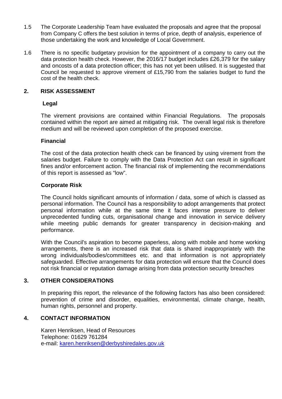- 1.5 The Corporate Leadership Team have evaluated the proposals and agree that the proposal from Company C offers the best solution in terms of price, depth of analysis, experience of those undertaking the work and knowledge of Local Government.
- 1.6 There is no specific budgetary provision for the appointment of a company to carry out the data protection health check. However, the 2016/17 budget includes £26,379 for the salary and oncosts of a data protection officer; this has not yet been utilised. It is suggested that Council be requested to approve virement of £15,790 from the salaries budget to fund the cost of the health check.

#### **2. RISK ASSESSMENT**

#### **Legal**

The virement provisions are contained within Financial Regulations. The proposals contained within the report are aimed at mitigating risk. The overall legal risk is therefore medium and will be reviewed upon completion of the proposed exercise.

#### **Financial**

The cost of the data protection health check can be financed by using virement from the salaries budget. Failure to comply with the Data Protection Act can result in significant fines and/or enforcement action. The financial risk of implementing the recommendations of this report is assessed as "low".

#### **Corporate Risk**

The Council holds significant amounts of information / data, some of which is classed as personal information. The Council has a responsibility to adopt arrangements that protect personal information while at the same time it faces intense pressure to deliver unprecedented funding cuts, organisational change and innovation in service delivery while meeting public demands for greater transparency in decision-making and performance.

With the Council's aspiration to become paperless, along with mobile and home working arrangements, there is an increased risk that data is shared inappropriately with the wrong individuals/bodies/committees etc. and that information is not appropriately safeguarded. Effective arrangements for data protection will ensure that the Council does not risk financial or reputation damage arising from data protection security breaches

#### **3. OTHER CONSIDERATIONS**

In preparing this report, the relevance of the following factors has also been considered: prevention of crime and disorder, equalities, environmental, climate change, health, human rights, personnel and property.

#### **4. CONTACT INFORMATION**

Karen Henriksen, Head of Resources Telephone: 01629 761284 e-mail: [karen.henriksen@derbyshiredales.gov.uk](mailto:karen.henriksen@derbyshiredales.gov.uk)